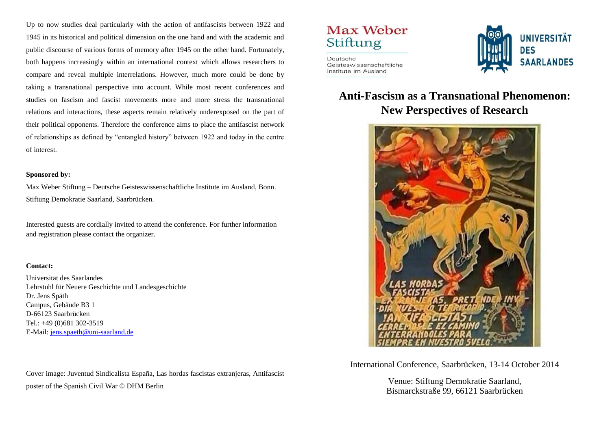Up to now studies deal particularly with the action of antifascists between 1922 and 1945 in its historical and political dimension on the one hand and with the academic and public discourse of various forms of memory after 1945 on the other hand. Fortunately, both happens increasingly within an international context which allows researchers to compare and reveal multiple interrelations. However, much more could be done by taking a transnational perspective into account. While most recent conferences and studies on fascism and fascist movements more and more stress the transnational relations and interactions, these aspects remain relatively underexposed on the part of their political opponents. Therefore the conference aims to place the antifascist network of relationships as defined by "entangled history" between 1922 and today in the centre of interest.

### **Sponsored by:**

Max Weber Stiftung – Deutsche Geisteswissenschaftliche Institute im Ausland, Bonn. Stiftung Demokratie Saarland, Saarbrücken.

Interested guests are cordially invited to attend the conference. For further information and registration please contact the organizer.

### **Contact:**

Universität des Saarlandes Lehrstuhl für Neuere Geschichte und Landesgeschichte Dr. Jens Späth Campus, Gebäude B3 1 D-66123 Saarbrücken Tel.: +49 (0)681 302-3519 E-Mail: [jens.spaeth@uni-saarland.de](mailto:jens.spaeth@uni-saarland.de)

Cover image: Juventud Sindicalista España, Las hordas fascistas extranjeras, Antifascist poster of the Spanish Civil War © DHM Berlin

# Max Weber Stiftung

Deutsche Geisteswissenschaftliche Institute im Ausland



### **Anti-Fascism as a Transnational Phenomenon: New Perspectives of Research**



International Conference, Saarbrücken, 13-14 October 2014

Venue: Stiftung Demokratie Saarland, Bismarckstraße 99, 66121 Saarbrücken